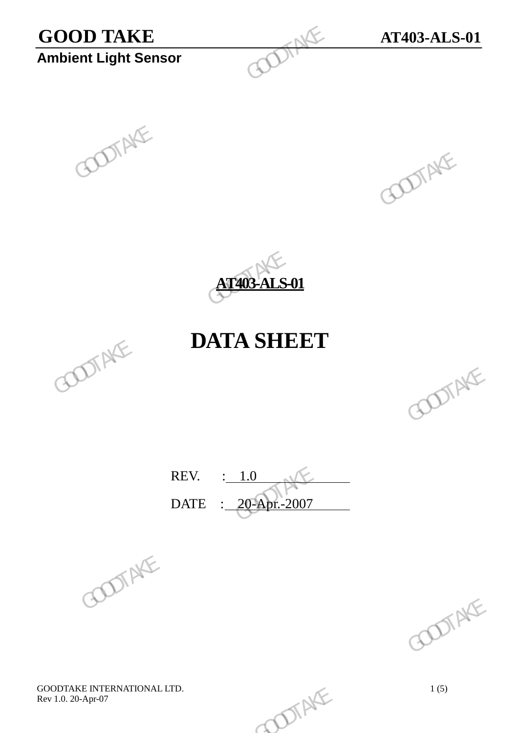# **GOOD TAKE AT403-ALS-01**<br>Ambient Light Sensor **Ambient Light Sensor** GOOD TAKE<br>Ambient Light Sensor<br>COOP





## **DATA SHEET**







GOODTAKE INTERNATIONAL LTD.<br>Rev 1.0. 20-Apr-07 1(5) Rev 1.0. 20-Apr-07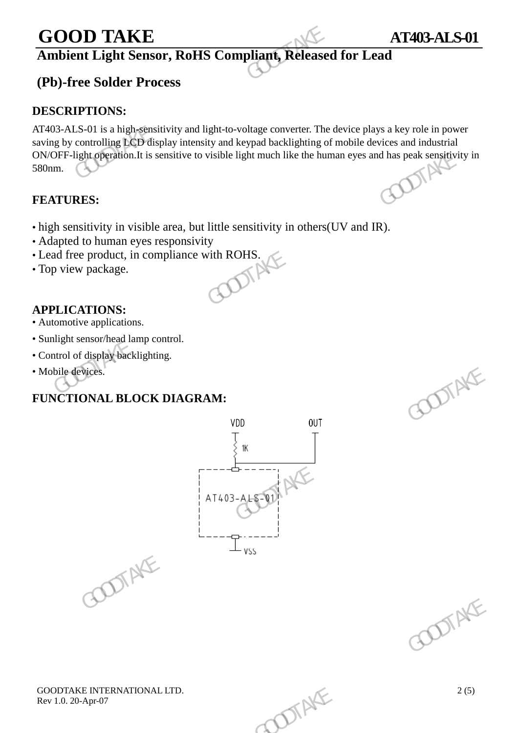## **GOOD TAKE AT403-ALS-01**

### **Ambient Light Sensor, RoHS Compliant, Released for Lead**

#### **(Pb)-free Solder Process**

#### **DESCRIPTIONS:**

AT403-ALS-01 is a high-sensitivity and light-to-voltage converter. The device plays a key role in power saving by controlling LCD display intensity and keypad backlighting of mobile devices and industrial ON/OFF-light operation.It is sensitive to visible light much like the human eyes and has peak sensitivity in 580nm. 580nm. **GOOD TAKE**<br> **Ambient Light Sensor, RoHS Compliant, Released**<br>
(Pb)-free Solder Process<br>
DESCRIPTIONS:<br>
AT403-ALS-01 is a high-sensitivity and light-to-voltage converter. The saving by controlling LCD display intensity and GNOFF-light operation.lt is sensitive to visible light much like the human eyes and has peak sensitivity<br>
580nm.<br> **FEATURES:**<br>
• high sensitivity in visible area, but little sensitivity in others(UV and IR).<br>
• Adapted to

#### **FEATURES:**

- high sensitivity in visible area, but little sensitivity in others(UV and IR).
- Adapted to human eyes responsivity
- Lead free product, in compliance with ROHS.<br>• Top view package.
- Top view package.

#### **APPLICATIONS:**

- Automotive applications.
- Sunlight sensor/head lamp control.
- Control of display backlighting.
- Mobile devices.

#### **FUNCTIONAL BLOCK DIAGRAM:**







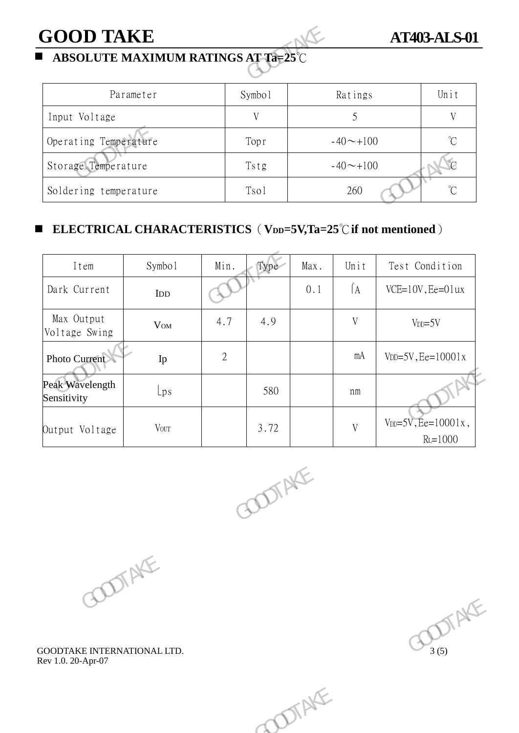## **GOOD TAKE AT403-ALS-01**

| <b>GOOD TAKE</b>                                                               |        |              |      |                 | <b>AT403-ALS-01</b> |
|--------------------------------------------------------------------------------|--------|--------------|------|-----------------|---------------------|
| ABSOLUTE MAXIMUM RATINGS AT-Ta=25°C                                            |        |              |      |                 |                     |
| Parameter                                                                      |        | Symbo1       |      | Ratings         | Unit                |
| Input Voltage                                                                  |        | V            |      | 5               | V                   |
| Operating Temperature                                                          |        | Topr         |      | $-40 \sim +100$ | $^{\circ}C$         |
| Storage Temperature                                                            |        | Tstg         |      | $-40 \sim +100$ |                     |
| Soldering temperature                                                          |        | Tso1         |      | 260             | $\int_{0}^{\infty}$ |
| ELECTRICAL CHARACTERISTICS (VDD=5V,Ta=25°C if not mentioned)<br>$\blacksquare$ |        |              |      |                 |                     |
| Item                                                                           | Symbo1 | Min.<br>Type | Max. | Unit            | Test Condition      |
|                                                                                |        |              |      | $\epsilon$      |                     |

### **ELECTRICAL CHARACTERISTICS**(**VDD=5V,Ta=25**℃**if not mentioned**)

| Item                           | Symbol         | Min.           | Type          | Max. | Unit                    | Test Condition                              |  |
|--------------------------------|----------------|----------------|---------------|------|-------------------------|---------------------------------------------|--|
| Dark Current                   | IDD            |                |               | 0.1  | $\int$ A                | $VCE=10V, Ee=01ux$                          |  |
| Max Output<br>Voltage Swing    | $V_{\rm OM}$   | 4.7            | 4.9           |      | V                       | $VDD=5V$                                    |  |
| Photo Current                  | Ip             | $\overline{2}$ |               |      | mA                      | $VDD = 5V$ , $Ee = 10001x$                  |  |
| Peak Wavelength<br>Sensitivity | $L_{\rm{p}}$ s |                | 580           |      | nm                      |                                             |  |
| Output Voltage                 | <b>VOUT</b>    |                | 3.72          |      | $\ensuremath{\text{V}}$ | $V_{DD} = 5V$ , Ee= $10001x$ ,<br>$RL=1000$ |  |
|                                |                |                | <b>DOTAKE</b> |      |                         |                                             |  |



Rev 1.0. 20-Apr-07



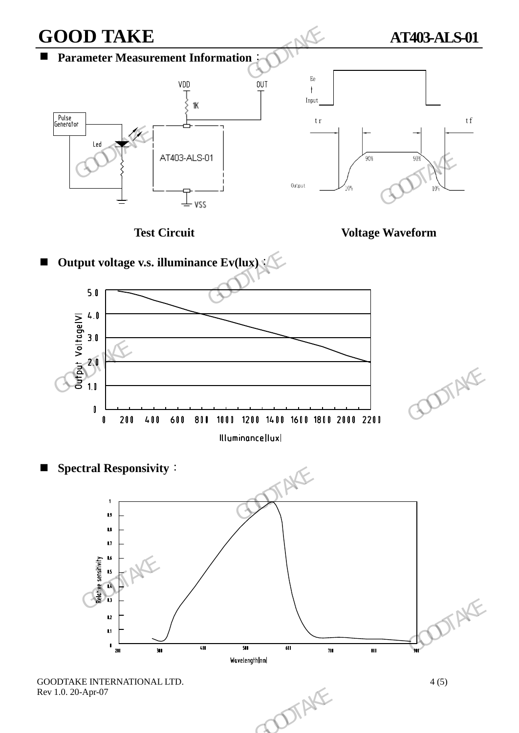